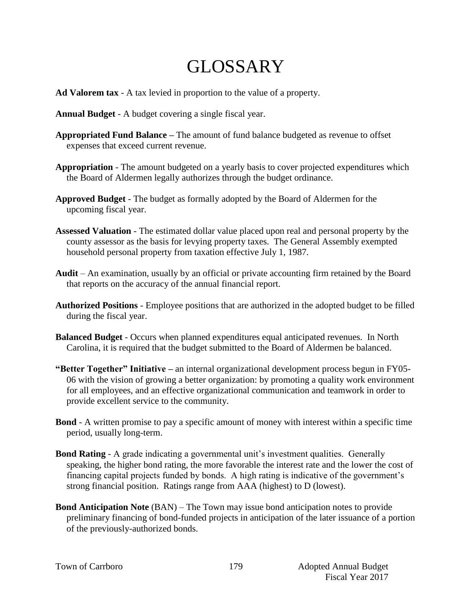## GLOSSARY

- **Ad Valorem tax** A tax levied in proportion to the value of a property.
- **Annual Budget** A budget covering a single fiscal year.
- **Appropriated Fund Balance –** The amount of fund balance budgeted as revenue to offset expenses that exceed current revenue.
- **Appropriation** The amount budgeted on a yearly basis to cover projected expenditures which the Board of Aldermen legally authorizes through the budget ordinance.
- **Approved Budget** The budget as formally adopted by the Board of Aldermen for the upcoming fiscal year.
- **Assessed Valuation** The estimated dollar value placed upon real and personal property by the county assessor as the basis for levying property taxes. The General Assembly exempted household personal property from taxation effective July 1, 1987.
- **Audit** An examination, usually by an official or private accounting firm retained by the Board that reports on the accuracy of the annual financial report.
- **Authorized Positions**  Employee positions that are authorized in the adopted budget to be filled during the fiscal year.
- **Balanced Budget** Occurs when planned expenditures equal anticipated revenues. In North Carolina, it is required that the budget submitted to the Board of Aldermen be balanced.
- **"Better Together" Initiative –** an internal organizational development process begun in FY05- 06 with the vision of growing a better organization: by promoting a quality work environment for all employees, and an effective organizational communication and teamwork in order to provide excellent service to the community.
- **Bond** A written promise to pay a specific amount of money with interest within a specific time period, usually long-term.
- **Bond Rating** A grade indicating a governmental unit's investment qualities. Generally speaking, the higher bond rating, the more favorable the interest rate and the lower the cost of financing capital projects funded by bonds. A high rating is indicative of the government's strong financial position. Ratings range from AAA (highest) to D (lowest).
- **Bond Anticipation Note** (BAN) The Town may issue bond anticipation notes to provide preliminary financing of bond-funded projects in anticipation of the later issuance of a portion of the previously-authorized bonds.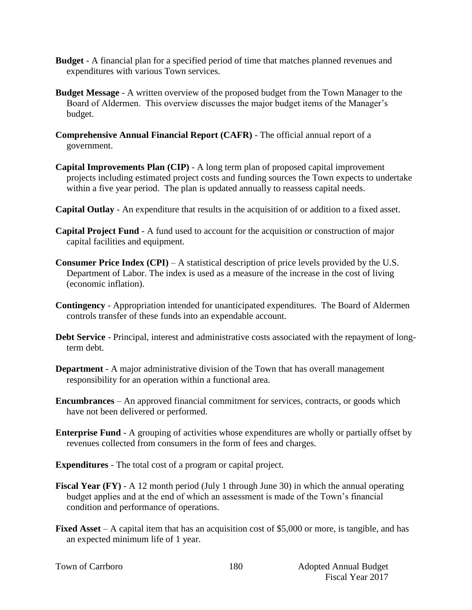- **Budget**  A financial plan for a specified period of time that matches planned revenues and expenditures with various Town services.
- **Budget Message** A written overview of the proposed budget from the Town Manager to the Board of Aldermen. This overview discusses the major budget items of the Manager's budget.
- **Comprehensive Annual Financial Report (CAFR)** The official annual report of a government.
- **Capital Improvements Plan (CIP)** A long term plan of proposed capital improvement projects including estimated project costs and funding sources the Town expects to undertake within a five year period. The plan is updated annually to reassess capital needs.
- **Capital Outlay** An expenditure that results in the acquisition of or addition to a fixed asset.
- **Capital Project Fund** A fund used to account for the acquisition or construction of major capital facilities and equipment.
- **Consumer Price Index (CPI)** A statistical description of price levels provided by the U.S. Department of Labor. The index is used as a measure of the increase in the cost of living (economic inflation).
- **Contingency**  Appropriation intended for unanticipated expenditures. The Board of Aldermen controls transfer of these funds into an expendable account.
- **Debt Service** Principal, interest and administrative costs associated with the repayment of longterm debt.
- **Department**  A major administrative division of the Town that has overall management responsibility for an operation within a functional area.
- **Encumbrances**  An approved financial commitment for services, contracts, or goods which have not been delivered or performed.
- **Enterprise Fund** A grouping of activities whose expenditures are wholly or partially offset by revenues collected from consumers in the form of fees and charges.
- **Expenditures** The total cost of a program or capital project.
- **Fiscal Year (FY)** A 12 month period (July 1 through June 30) in which the annual operating budget applies and at the end of which an assessment is made of the Town's financial condition and performance of operations.
- **Fixed Asset** A capital item that has an acquisition cost of \$5,000 or more, is tangible, and has an expected minimum life of 1 year.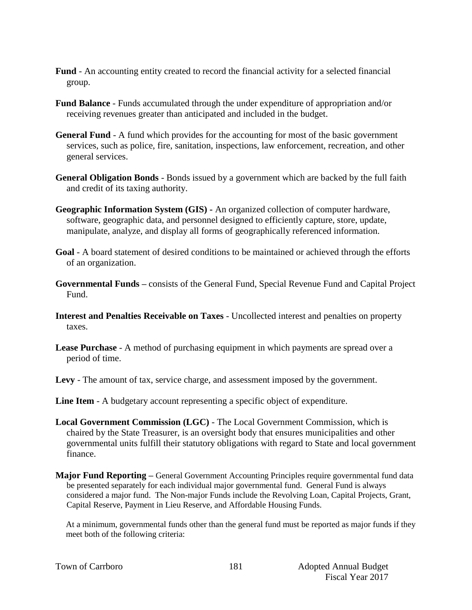- **Fund** An accounting entity created to record the financial activity for a selected financial group.
- **Fund Balance** Funds accumulated through the under expenditure of appropriation and/or receiving revenues greater than anticipated and included in the budget.
- **General Fund** A fund which provides for the accounting for most of the basic government services, such as police, fire, sanitation, inspections, law enforcement, recreation, and other general services.
- **General Obligation Bonds** Bonds issued by a government which are backed by the full faith and credit of its taxing authority.
- **Geographic Information System (GIS) -** An organized collection of computer hardware, software, geographic data, and personnel designed to efficiently capture, store, update, manipulate, analyze, and display all forms of geographically referenced information.
- **Goal** A board statement of desired conditions to be maintained or achieved through the efforts of an organization.
- **Governmental Funds –** consists of the General Fund, Special Revenue Fund and Capital Project Fund.
- **Interest and Penalties Receivable on Taxes** Uncollected interest and penalties on property taxes.
- **Lease Purchase** A method of purchasing equipment in which payments are spread over a period of time.
- **Levy**  The amount of tax, service charge, and assessment imposed by the government.
- **Line Item** A budgetary account representing a specific object of expenditure.
- **Local Government Commission (LGC)**  The Local Government Commission, which is chaired by the State Treasurer, is an oversight body that ensures municipalities and other governmental units fulfill their statutory obligations with regard to State and local government finance.
- **Major Fund Reporting –** General Government Accounting Principles require governmental fund data be presented separately for each individual major governmental fund. General Fund is always considered a major fund. The Non-major Funds include the Revolving Loan, Capital Projects, Grant, Capital Reserve, Payment in Lieu Reserve, and Affordable Housing Funds.

At a minimum, governmental funds other than the general fund must be reported as major funds if they meet both of the following criteria:

|  |  | Town of Carrboro |
|--|--|------------------|
|--|--|------------------|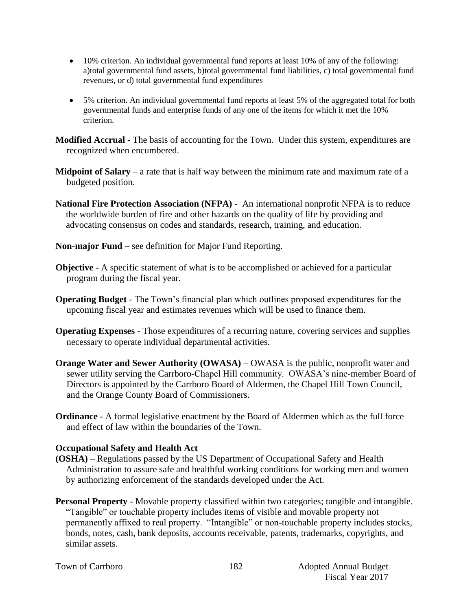- 10% criterion. An individual governmental fund reports at least 10% of any of the following: a)total governmental fund assets, b)total governmental fund liabilities, c) total governmental fund revenues, or d) total governmental fund expenditures
- 5% criterion. An individual governmental fund reports at least 5% of the aggregated total for both governmental funds and enterprise funds of any one of the items for which it met the 10% criterion.

**Modified Accrual** - The basis of accounting for the Town. Under this system, expenditures are recognized when encumbered.

- **Midpoint of Salary** a rate that is half way between the minimum rate and maximum rate of a budgeted position.
- **National Fire Protection Association (NFPA)**  An international nonprofit NFPA is to reduce the worldwide burden of fire and other hazards on the quality of life by providing and advocating consensus on codes and standards, research, training, and education.
- **Non-major Fund –** see definition for Major Fund Reporting.
- **Objective** A specific statement of what is to be accomplished or achieved for a particular program during the fiscal year.
- **Operating Budget** The Town's financial plan which outlines proposed expenditures for the upcoming fiscal year and estimates revenues which will be used to finance them.
- **Operating Expenses** Those expenditures of a recurring nature, covering services and supplies necessary to operate individual departmental activities.
- **Orange Water and Sewer Authority (OWASA)** OWASA is the public, nonprofit water and sewer utility serving the Carrboro-Chapel Hill community. OWASA's nine-member Board of Directors is appointed by the Carrboro Board of Aldermen, the Chapel Hill Town Council, and the Orange County Board of Commissioners.
- **Ordinance** A formal legislative enactment by the Board of Aldermen which as the full force and effect of law within the boundaries of the Town.

## **Occupational Safety and Health Act**

- **(OSHA)** Regulations passed by the US Department of Occupational Safety and Health Administration to assure safe and healthful working conditions for working men and women by authorizing enforcement of the standards developed under the Act.
- **Personal Property** Movable property classified within two categories; tangible and intangible. "Tangible" or touchable property includes items of visible and movable property not permanently affixed to real property. "Intangible" or non-touchable property includes stocks, bonds, notes, cash, bank deposits, accounts receivable, patents, trademarks, copyrights, and similar assets.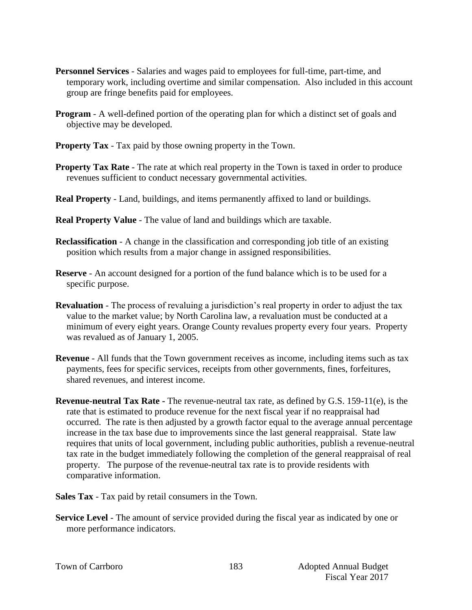- **Personnel Services** Salaries and wages paid to employees for full-time, part-time, and temporary work, including overtime and similar compensation. Also included in this account group are fringe benefits paid for employees.
- **Program** A well-defined portion of the operating plan for which a distinct set of goals and objective may be developed.
- **Property Tax** Tax paid by those owning property in the Town.
- **Property Tax Rate** The rate at which real property in the Town is taxed in order to produce revenues sufficient to conduct necessary governmental activities.
- **Real Property** Land, buildings, and items permanently affixed to land or buildings.
- **Real Property Value** The value of land and buildings which are taxable.
- **Reclassification** A change in the classification and corresponding job title of an existing position which results from a major change in assigned responsibilities.
- **Reserve** An account designed for a portion of the fund balance which is to be used for a specific purpose.
- **Revaluation**  The process of revaluing a jurisdiction's real property in order to adjust the tax value to the market value; by North Carolina law, a revaluation must be conducted at a minimum of every eight years. Orange County revalues property every four years. Property was revalued as of January 1, 2005.
- **Revenue**  All funds that the Town government receives as income, including items such as tax payments, fees for specific services, receipts from other governments, fines, forfeitures, shared revenues, and interest income.
- **Revenue-neutral Tax Rate -** The revenue-neutral tax rate, as defined by G.S. 159-11(e), is the rate that is estimated to produce revenue for the next fiscal year if no reappraisal had occurred. The rate is then adjusted by a growth factor equal to the average annual percentage increase in the tax base due to improvements since the last general reappraisal. State law requires that units of local government, including public authorities, publish a revenue-neutral tax rate in the budget immediately following the completion of the general reappraisal of real property. The purpose of the revenue-neutral tax rate is to provide residents with comparative information.
- **Sales Tax** Tax paid by retail consumers in the Town.
- **Service Level** The amount of service provided during the fiscal year as indicated by one or more performance indicators.